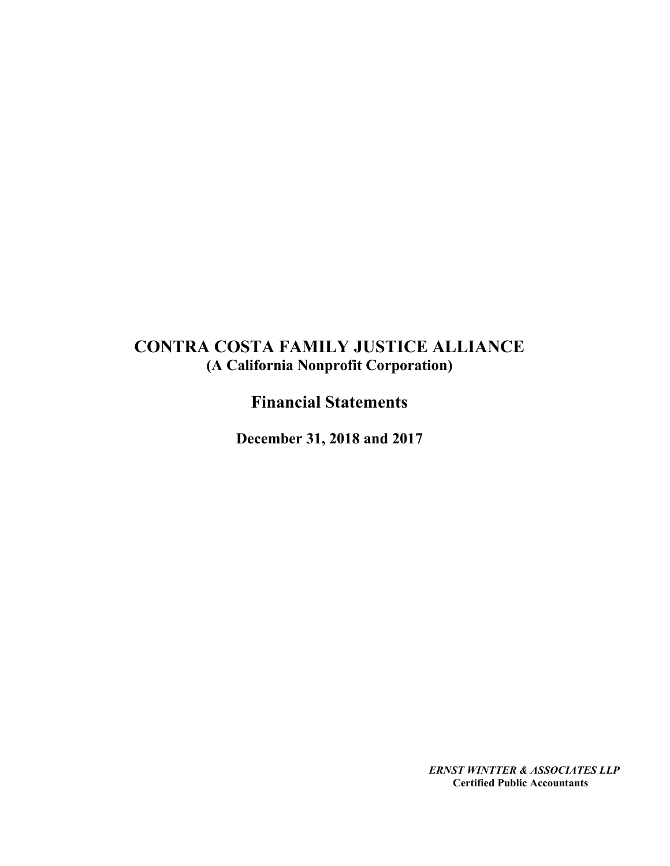# CONTRA COSTA FAMILY JUSTICE ALLIANCE (A California Nonprofit Corporation)

Financial Statements

December 31, 2018 and 2017

ERNST WINTTER & ASSOCIATES LLP Certified Public Accountants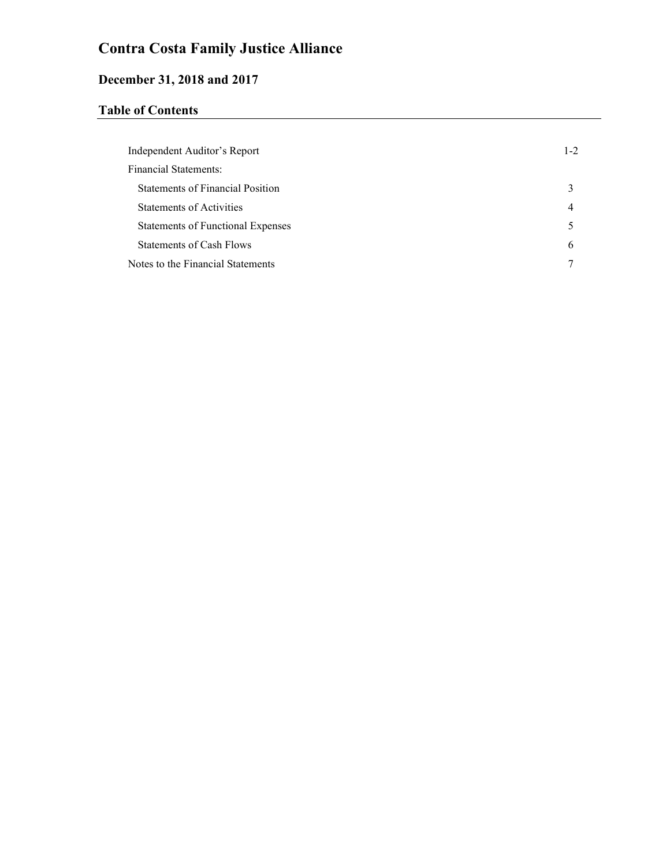# December 31, 2018 and 2017

# Table of Contents

| Independent Auditor's Report             |   |  |  |
|------------------------------------------|---|--|--|
| <b>Financial Statements:</b>             |   |  |  |
| <b>Statements of Financial Position</b>  | 3 |  |  |
| <b>Statements of Activities</b>          | 4 |  |  |
| <b>Statements of Functional Expenses</b> | 5 |  |  |
| Statements of Cash Flows                 | 6 |  |  |
| Notes to the Financial Statements        |   |  |  |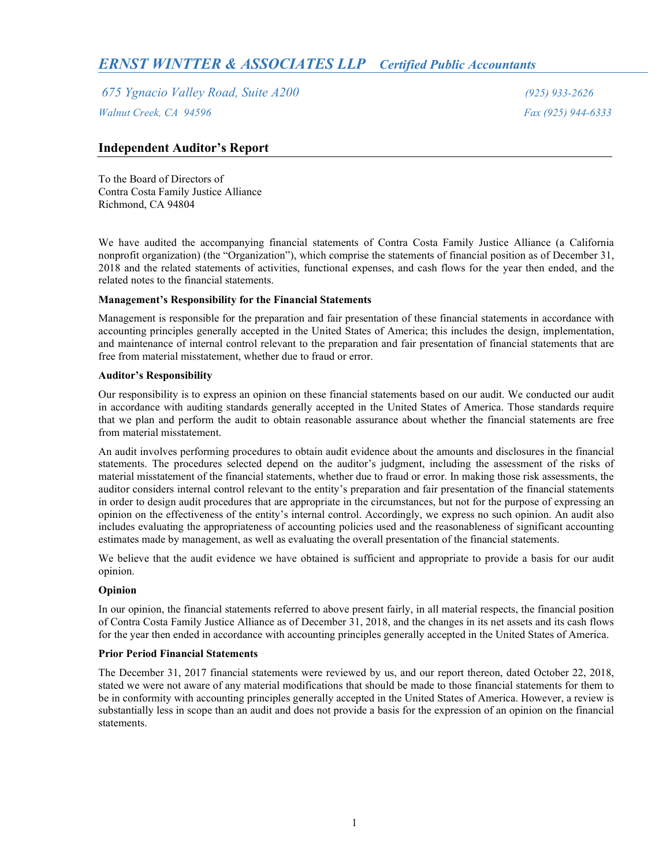## ERNST WINTTER & ASSOCIATES LLP Certified Public Accountants

 675 Ygnacio Valley Road, Suite A200 (925) 933-2626 Walnut Creek, CA 94596 Fax (925) 944-6333

### Independent Auditor's Report

To the Board of Directors of Contra Costa Family Justice Alliance Richmond, CA 94804

We have audited the accompanying financial statements of Contra Costa Family Justice Alliance (a California nonprofit organization) (the "Organization"), which comprise the statements of financial position as of December 31, 2018 and the related statements of activities, functional expenses, and cash flows for the year then ended, and the related notes to the financial statements.

#### Management's Responsibility for the Financial Statements

Management is responsible for the preparation and fair presentation of these financial statements in accordance with accounting principles generally accepted in the United States of America; this includes the design, implementation, and maintenance of internal control relevant to the preparation and fair presentation of financial statements that are free from material misstatement, whether due to fraud or error.

#### Auditor's Responsibility

Our responsibility is to express an opinion on these financial statements based on our audit. We conducted our audit in accordance with auditing standards generally accepted in the United States of America. Those standards require that we plan and perform the audit to obtain reasonable assurance about whether the financial statements are free from material misstatement.

An audit involves performing procedures to obtain audit evidence about the amounts and disclosures in the financial statements. The procedures selected depend on the auditor's judgment, including the assessment of the risks of material misstatement of the financial statements, whether due to fraud or error. In making those risk assessments, the auditor considers internal control relevant to the entity's preparation and fair presentation of the financial statements in order to design audit procedures that are appropriate in the circumstances, but not for the purpose of expressing an opinion on the effectiveness of the entity's internal control. Accordingly, we express no such opinion. An audit also includes evaluating the appropriateness of accounting policies used and the reasonableness of significant accounting estimates made by management, as well as evaluating the overall presentation of the financial statements.

We believe that the audit evidence we have obtained is sufficient and appropriate to provide a basis for our audit opinion.

#### Opinion

In our opinion, the financial statements referred to above present fairly, in all material respects, the financial position of Contra Costa Family Justice Alliance as of December 31, 2018, and the changes in its net assets and its cash flows for the year then ended in accordance with accounting principles generally accepted in the United States of America.

#### Prior Period Financial Statements

The December 31, 2017 financial statements were reviewed by us, and our report thereon, dated October 22, 2018, stated we were not aware of any material modifications that should be made to those financial statements for them to be in conformity with accounting principles generally accepted in the United States of America. However, a review is substantially less in scope than an audit and does not provide a basis for the expression of an opinion on the financial statements.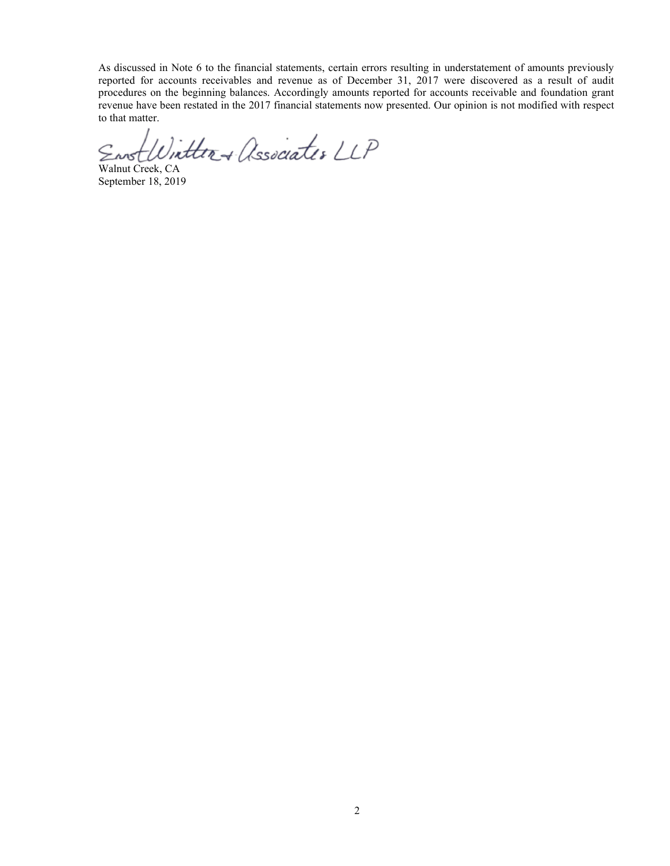As discussed in Note 6 to the financial statements, certain errors resulting in understatement of amounts previously reported for accounts receivables and revenue as of December 31, 2017 were discovered as a result of audit procedures on the beginning balances. Accordingly amounts reported for accounts receivable and foundation grant revenue have been restated in the 2017 financial statements now presented. Our opinion is not modified with respect to that matter.

Swet Wintter + Associates LLP

September 18, 2019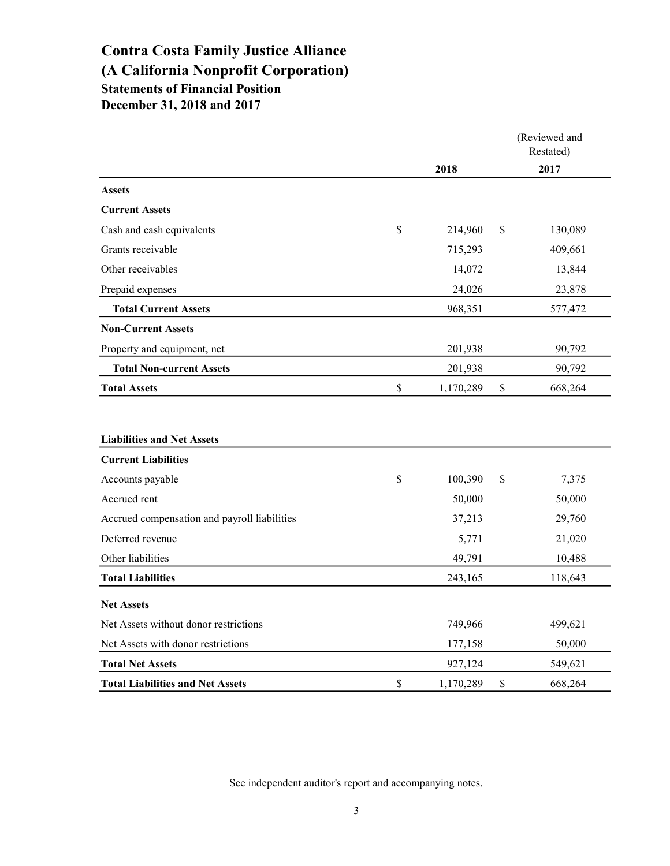# Contra Costa Family Justice Alliance (A California Nonprofit Corporation) Statements of Financial Position December 31, 2018 and 2017

|                                              |              |           | (Reviewed and<br>Restated) |
|----------------------------------------------|--------------|-----------|----------------------------|
|                                              |              | 2018      | 2017                       |
| <b>Assets</b>                                |              |           |                            |
| <b>Current Assets</b>                        |              |           |                            |
| Cash and cash equivalents                    | \$           | 214,960   | \$<br>130,089              |
| Grants receivable                            |              | 715,293   | 409,661                    |
| Other receivables                            |              | 14,072    | 13,844                     |
| Prepaid expenses                             |              | 24,026    | 23,878                     |
| <b>Total Current Assets</b>                  |              | 968,351   | 577,472                    |
| <b>Non-Current Assets</b>                    |              |           |                            |
| Property and equipment, net                  |              | 201,938   | 90,792                     |
| <b>Total Non-current Assets</b>              |              | 201,938   | 90,792                     |
| <b>Total Assets</b>                          | \$           | 1,170,289 | \$<br>668,264              |
|                                              |              |           |                            |
|                                              |              |           |                            |
| <b>Liabilities and Net Assets</b>            |              |           |                            |
| <b>Current Liabilities</b>                   |              |           |                            |
| Accounts payable                             | $\mathbb{S}$ | 100,390   | \$<br>7,375                |
| Accrued rent                                 |              | 50,000    | 50,000                     |
| Accrued compensation and payroll liabilities |              | 37,213    | 29,760                     |
| Deferred revenue                             |              | 5,771     | 21,020                     |
| Other liabilities                            |              | 49,791    | 10,488                     |
| <b>Total Liabilities</b>                     |              | 243,165   | 118,643                    |
| <b>Net Assets</b>                            |              |           |                            |
| Net Assets without donor restrictions        |              | 749,966   | 499,621                    |
| Net Assets with donor restrictions           |              | 177,158   | 50,000                     |
| <b>Total Net Assets</b>                      |              | 927,124   | 549,621                    |
| <b>Total Liabilities and Net Assets</b>      | $\mathbb S$  | 1,170,289 | \$<br>668,264              |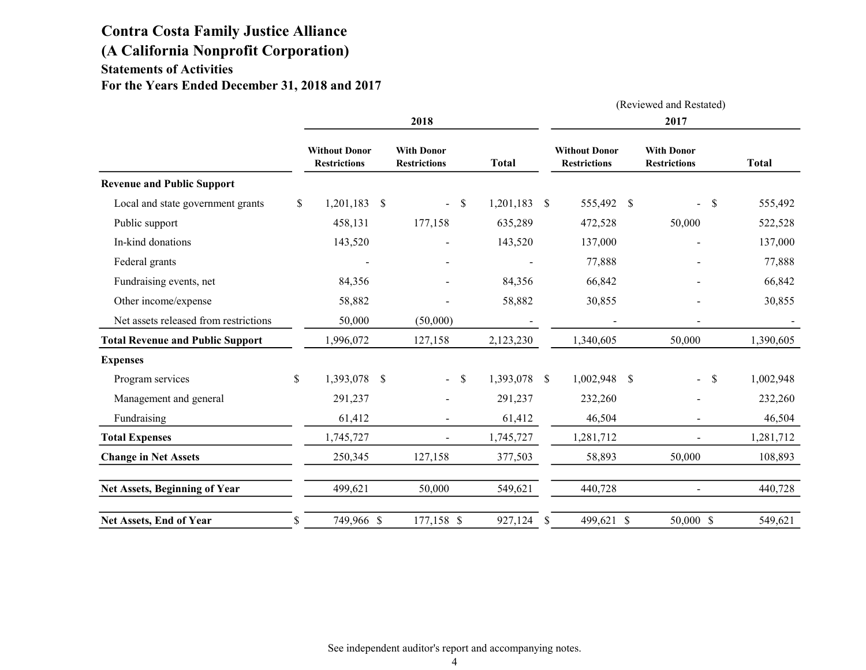## Contra Costa Family Justice Alliance (A California Nonprofit Corporation) Statements of Activities For the Years Ended December 31, 2018 and 2017

|                                         |    |                                             |                           |                                          |  |                |              |                                             | (Reviewed and Restated)                  |                 |
|-----------------------------------------|----|---------------------------------------------|---------------------------|------------------------------------------|--|----------------|--------------|---------------------------------------------|------------------------------------------|-----------------|
|                                         |    | 2018                                        |                           |                                          |  |                |              | 2017                                        |                                          |                 |
|                                         |    | <b>Without Donor</b><br><b>Restrictions</b> |                           | <b>With Donor</b><br><b>Restrictions</b> |  | <b>Total</b>   |              | <b>Without Donor</b><br><b>Restrictions</b> | <b>With Donor</b><br><b>Restrictions</b> | <b>Total</b>    |
| <b>Revenue and Public Support</b>       |    |                                             |                           |                                          |  |                |              |                                             |                                          |                 |
| Local and state government grants       | \$ | 1,201,183                                   | $\boldsymbol{\mathsf{S}}$ | $-$ \$                                   |  | $1,201,183$ \$ |              | 555,492 \$                                  |                                          | \$<br>555,492   |
| Public support                          |    | 458,131                                     |                           | 177,158                                  |  | 635,289        |              | 472,528                                     | 50,000                                   | 522,528         |
| In-kind donations                       |    | 143,520                                     |                           |                                          |  | 143,520        |              | 137,000                                     |                                          | 137,000         |
| Federal grants                          |    |                                             |                           | $\blacksquare$                           |  |                |              | 77,888                                      |                                          | 77,888          |
| Fundraising events, net                 |    | 84,356                                      |                           |                                          |  | 84,356         |              | 66,842                                      |                                          | 66,842          |
| Other income/expense                    |    | 58,882                                      |                           |                                          |  | 58,882         |              | 30,855                                      |                                          | 30,855          |
| Net assets released from restrictions   |    | 50,000                                      |                           | (50,000)                                 |  |                |              |                                             |                                          |                 |
| <b>Total Revenue and Public Support</b> |    | 1,996,072                                   |                           | 127,158                                  |  | 2,123,230      |              | 1,340,605                                   | 50,000                                   | 1,390,605       |
| <b>Expenses</b>                         |    |                                             |                           |                                          |  |                |              |                                             |                                          |                 |
| Program services                        | \$ | 1,393,078 \$                                |                           | $\mathcal{S}$<br>$\mathcal{L}^{\pm}$     |  | 1,393,078 \$   |              | $1,002,948$ \$                              |                                          | \$<br>1,002,948 |
| Management and general                  |    | 291,237                                     |                           |                                          |  | 291,237        |              | 232,260                                     |                                          | 232,260         |
| Fundraising                             |    | 61,412                                      |                           |                                          |  | 61,412         |              | 46,504                                      |                                          | 46,504          |
| <b>Total Expenses</b>                   |    | 1,745,727                                   |                           |                                          |  | 1,745,727      |              | 1,281,712                                   |                                          | 1,281,712       |
| <b>Change in Net Assets</b>             |    | 250,345                                     |                           | 127,158                                  |  | 377,503        |              | 58,893                                      | 50,000                                   | 108,893         |
| Net Assets, Beginning of Year           |    | 499,621                                     |                           | 50,000                                   |  | 549,621        |              | 440,728                                     |                                          | 440,728         |
| Net Assets, End of Year                 | S  | 749,966 \$                                  |                           | 177,158 \$                               |  | 927,124        | <sup>S</sup> | 499,621 \$                                  | 50,000 \$                                | 549,621         |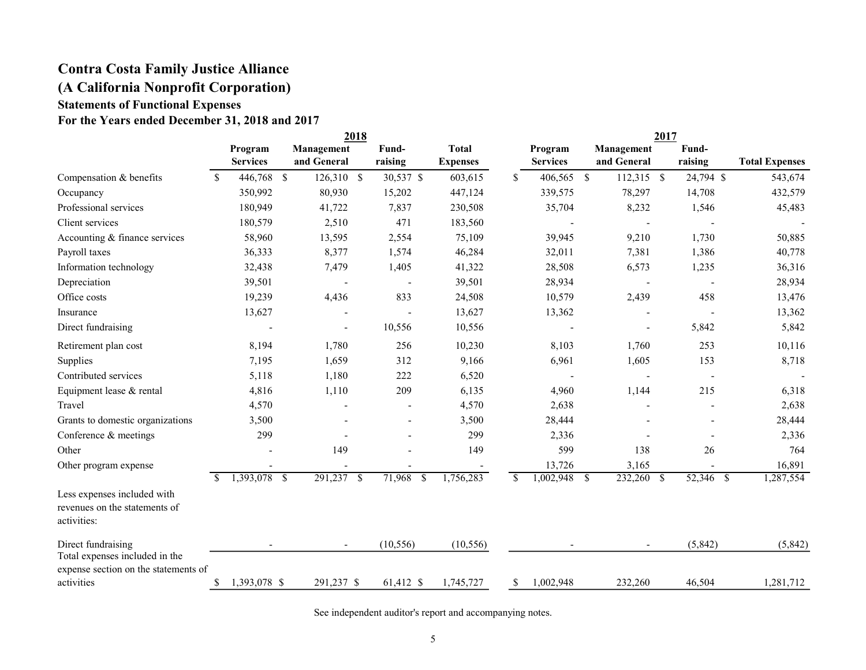## Contra Costa Family Justice Alliance (A California Nonprofit Corporation) Statements of Functional Expenses

For the Years ended December 31, 2018 and 2017

|                                                                             |    | 2018            |      |                   |    |                          |                 |    | 2017            |               |              |                          |                          |  |  |  |
|-----------------------------------------------------------------------------|----|-----------------|------|-------------------|----|--------------------------|-----------------|----|-----------------|---------------|--------------|--------------------------|--------------------------|--|--|--|
|                                                                             |    | Program         |      | <b>Management</b> |    | Fund-                    | <b>Total</b>    |    | Program         |               | Management   | Fund-                    |                          |  |  |  |
|                                                                             |    | <b>Services</b> |      | and General       |    | raising                  | <b>Expenses</b> |    | <b>Services</b> |               | and General  | raising                  | <b>Total Expenses</b>    |  |  |  |
| Compensation & benefits                                                     | S. | 446,768 \$      |      | $126,310$ \$      |    | 30,537 \$                | 603,615         | \$ | 406,565 \$      |               | 112,315 \$   | 24,794 \$                | 543,674                  |  |  |  |
| Occupancy                                                                   |    | 350,992         |      | 80,930            |    | 15,202                   | 447,124         |    | 339,575         |               | 78,297       | 14,708                   | 432,579                  |  |  |  |
| Professional services                                                       |    | 180,949         |      | 41,722            |    | 7,837                    | 230,508         |    | 35,704          |               | 8,232        | 1,546                    | 45,483                   |  |  |  |
| Client services                                                             |    | 180,579         |      | 2,510             |    | 471                      | 183,560         |    |                 |               |              |                          |                          |  |  |  |
| Accounting & finance services                                               |    | 58,960          |      | 13,595            |    | 2,554                    | 75,109          |    | 39,945          |               | 9,210        | 1,730                    | 50,885                   |  |  |  |
| Payroll taxes                                                               |    | 36,333          |      | 8,377             |    | 1,574                    | 46,284          |    | 32,011          |               | 7,381        | 1,386                    | 40,778                   |  |  |  |
| Information technology                                                      |    | 32,438          |      | 7,479             |    | 1,405                    | 41,322          |    | 28,508          |               | 6,573        | 1,235                    | 36,316                   |  |  |  |
| Depreciation                                                                |    | 39,501          |      |                   |    | $\overline{\phantom{a}}$ | 39,501          |    | 28,934          |               |              |                          | 28,934                   |  |  |  |
| Office costs                                                                |    | 19,239          |      | 4,436             |    | 833                      | 24,508          |    | 10,579          |               | 2,439        | 458                      | 13,476                   |  |  |  |
| Insurance                                                                   |    | 13,627          |      | $\overline{a}$    |    | $\blacksquare$           | 13,627          |    | 13,362          |               |              | $\overline{a}$           | 13,362                   |  |  |  |
| Direct fundraising                                                          |    |                 |      |                   |    | 10,556                   | 10,556          |    |                 |               |              | 5,842                    | 5,842                    |  |  |  |
| Retirement plan cost                                                        |    | 8,194           |      | 1,780             |    | 256                      | 10,230          |    | 8,103           |               | 1,760        | 253                      | 10,116                   |  |  |  |
| Supplies                                                                    |    | 7,195           |      | 1,659             |    | 312                      | 9,166           |    | 6,961           |               | 1,605        | 153                      | 8,718                    |  |  |  |
| Contributed services                                                        |    | 5,118           |      | 1,180             |    | 222                      | 6,520           |    |                 |               |              | $\overline{\phantom{a}}$ | $\overline{\phantom{a}}$ |  |  |  |
| Equipment lease & rental                                                    |    | 4,816           |      | 1,110             |    | 209                      | 6,135           |    | 4,960           |               | 1,144        | 215                      | 6,318                    |  |  |  |
| Travel                                                                      |    | 4,570           |      |                   |    |                          | 4,570           |    | 2,638           |               |              |                          | 2,638                    |  |  |  |
| Grants to domestic organizations                                            |    | 3,500           |      |                   |    | $\overline{\phantom{a}}$ | 3,500           |    | 28,444          |               |              |                          | 28,444                   |  |  |  |
| Conference & meetings                                                       |    | 299             |      |                   |    | $\blacksquare$           | 299             |    | 2,336           |               |              | $\sim$                   | 2,336                    |  |  |  |
| Other                                                                       |    |                 |      | 149               |    |                          | 149             |    | 599             |               | 138          | 26                       | 764                      |  |  |  |
| Other program expense                                                       |    |                 |      |                   |    |                          |                 |    | 13,726          |               | 3,165        |                          | 16,891                   |  |  |  |
|                                                                             | -S | 1,393,078       | - \$ | 291,237           | -S | 71,968<br>-S             | 1,756,283       | -S | 1,002,948       | <sup>\$</sup> | $232,260$ \$ | $52,346$ \$              | 1,287,554                |  |  |  |
| Less expenses included with<br>revenues on the statements of<br>activities: |    |                 |      |                   |    |                          |                 |    |                 |               |              |                          |                          |  |  |  |
| Direct fundraising<br>Total expenses included in the                        |    |                 |      |                   |    | (10, 556)                | (10, 556)       |    |                 |               |              | (5,842)                  | (5,842)                  |  |  |  |
| expense section on the statements of<br>activities                          | \$ | 1,393,078 \$    |      | 291.237 \$        |    | 61,412 \$                | 1,745,727       | \$ | 1,002,948       |               | 232,260      | 46,504                   | 1,281,712                |  |  |  |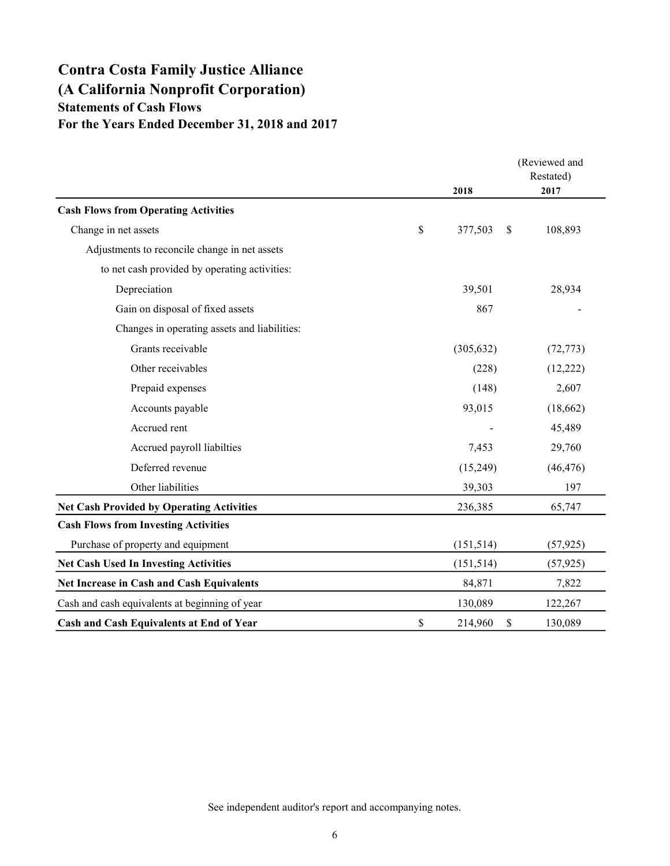# Contra Costa Family Justice Alliance (A California Nonprofit Corporation) Statements of Cash Flows For the Years Ended December 31, 2018 and 2017

|                                                  |               | (Reviewed and     |
|--------------------------------------------------|---------------|-------------------|
|                                                  | 2018          | Restated)<br>2017 |
| <b>Cash Flows from Operating Activities</b>      |               |                   |
| Change in net assets                             | \$<br>377,503 | \$<br>108,893     |
| Adjustments to reconcile change in net assets    |               |                   |
| to net cash provided by operating activities:    |               |                   |
| Depreciation                                     | 39,501        | 28,934            |
| Gain on disposal of fixed assets                 | 867           |                   |
| Changes in operating assets and liabilities:     |               |                   |
| Grants receivable                                | (305, 632)    | (72, 773)         |
| Other receivables                                | (228)         | (12, 222)         |
| Prepaid expenses                                 | (148)         | 2,607             |
| Accounts payable                                 | 93,015        | (18,662)          |
| Accrued rent                                     |               | 45,489            |
| Accrued payroll liabilties                       | 7,453         | 29,760            |
| Deferred revenue                                 | (15,249)      | (46, 476)         |
| Other liabilities                                | 39,303        | 197               |
| <b>Net Cash Provided by Operating Activities</b> | 236,385       | 65,747            |
| <b>Cash Flows from Investing Activities</b>      |               |                   |
| Purchase of property and equipment               | (151, 514)    | (57, 925)         |
| <b>Net Cash Used In Investing Activities</b>     | (151, 514)    | (57, 925)         |
| Net Increase in Cash and Cash Equivalents        | 84,871        | 7,822             |
| Cash and cash equivalents at beginning of year   | 130,089       | 122,267           |
| Cash and Cash Equivalents at End of Year         | \$<br>214,960 | \$<br>130,089     |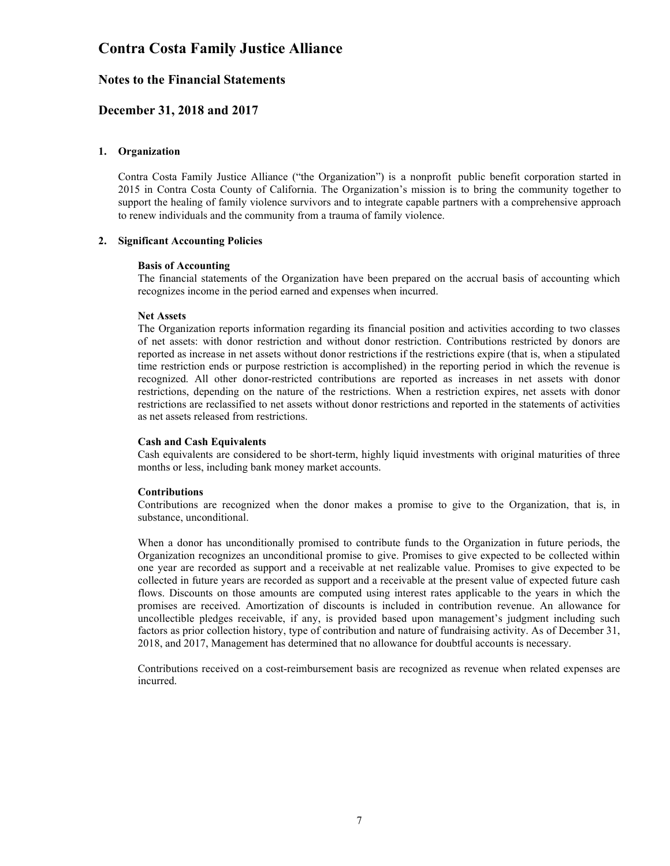## Notes to the Financial Statements

### December 31, 2018 and 2017

#### 1. Organization

Contra Costa Family Justice Alliance ("the Organization") is a nonprofit public benefit corporation started in 2015 in Contra Costa County of California. The Organization's mission is to bring the community together to support the healing of family violence survivors and to integrate capable partners with a comprehensive approach to renew individuals and the community from a trauma of family violence.

#### 2. Significant Accounting Policies

#### Basis of Accounting

The financial statements of the Organization have been prepared on the accrual basis of accounting which recognizes income in the period earned and expenses when incurred.

#### Net Assets

The Organization reports information regarding its financial position and activities according to two classes of net assets: with donor restriction and without donor restriction. Contributions restricted by donors are reported as increase in net assets without donor restrictions if the restrictions expire (that is, when a stipulated time restriction ends or purpose restriction is accomplished) in the reporting period in which the revenue is recognized. All other donor-restricted contributions are reported as increases in net assets with donor restrictions, depending on the nature of the restrictions. When a restriction expires, net assets with donor restrictions are reclassified to net assets without donor restrictions and reported in the statements of activities as net assets released from restrictions.

#### Cash and Cash Equivalents

Cash equivalents are considered to be short-term, highly liquid investments with original maturities of three months or less, including bank money market accounts.

#### **Contributions**

Contributions are recognized when the donor makes a promise to give to the Organization, that is, in substance, unconditional.

When a donor has unconditionally promised to contribute funds to the Organization in future periods, the Organization recognizes an unconditional promise to give. Promises to give expected to be collected within one year are recorded as support and a receivable at net realizable value. Promises to give expected to be collected in future years are recorded as support and a receivable at the present value of expected future cash flows. Discounts on those amounts are computed using interest rates applicable to the years in which the promises are received. Amortization of discounts is included in contribution revenue. An allowance for uncollectible pledges receivable, if any, is provided based upon management's judgment including such factors as prior collection history, type of contribution and nature of fundraising activity. As of December 31, 2018, and 2017, Management has determined that no allowance for doubtful accounts is necessary.

Contributions received on a cost-reimbursement basis are recognized as revenue when related expenses are incurred.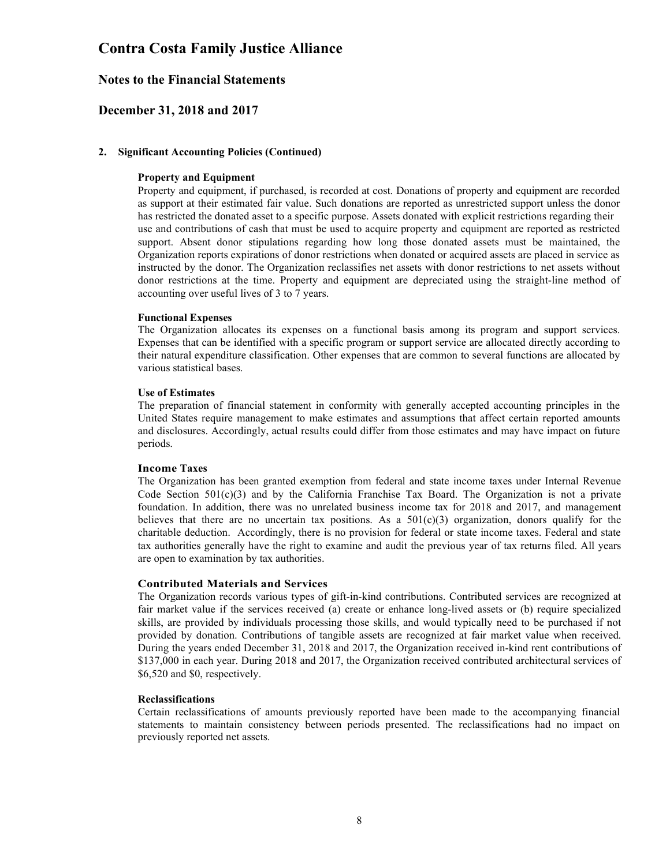## Notes to the Financial Statements

### December 31, 2018 and 2017

#### 2. Significant Accounting Policies (Continued)

#### Property and Equipment

Property and equipment, if purchased, is recorded at cost. Donations of property and equipment are recorded as support at their estimated fair value. Such donations are reported as unrestricted support unless the donor has restricted the donated asset to a specific purpose. Assets donated with explicit restrictions regarding their use and contributions of cash that must be used to acquire property and equipment are reported as restricted support. Absent donor stipulations regarding how long those donated assets must be maintained, the Organization reports expirations of donor restrictions when donated or acquired assets are placed in service as instructed by the donor. The Organization reclassifies net assets with donor restrictions to net assets without donor restrictions at the time. Property and equipment are depreciated using the straight-line method of accounting over useful lives of 3 to 7 years.

#### Functional Expenses

The Organization allocates its expenses on a functional basis among its program and support services. Expenses that can be identified with a specific program or support service are allocated directly according to their natural expenditure classification. Other expenses that are common to several functions are allocated by various statistical bases.

#### Use of Estimates

The preparation of financial statement in conformity with generally accepted accounting principles in the United States require management to make estimates and assumptions that affect certain reported amounts and disclosures. Accordingly, actual results could differ from those estimates and may have impact on future periods.

#### Income Taxes

The Organization has been granted exemption from federal and state income taxes under Internal Revenue Code Section  $501(c)(3)$  and by the California Franchise Tax Board. The Organization is not a private foundation. In addition, there was no unrelated business income tax for 2018 and 2017, and management believes that there are no uncertain tax positions. As a  $501(c)(3)$  organization, donors qualify for the charitable deduction. Accordingly, there is no provision for federal or state income taxes. Federal and state tax authorities generally have the right to examine and audit the previous year of tax returns filed. All years are open to examination by tax authorities.

#### Contributed Materials and Services

The Organization records various types of gift-in-kind contributions. Contributed services are recognized at fair market value if the services received (a) create or enhance long-lived assets or (b) require specialized skills, are provided by individuals processing those skills, and would typically need to be purchased if not provided by donation. Contributions of tangible assets are recognized at fair market value when received. During the years ended December 31, 2018 and 2017, the Organization received in-kind rent contributions of \$137,000 in each year. During 2018 and 2017, the Organization received contributed architectural services of \$6,520 and \$0, respectively.

#### Reclassifications

Certain reclassifications of amounts previously reported have been made to the accompanying financial statements to maintain consistency between periods presented. The reclassifications had no impact on previously reported net assets.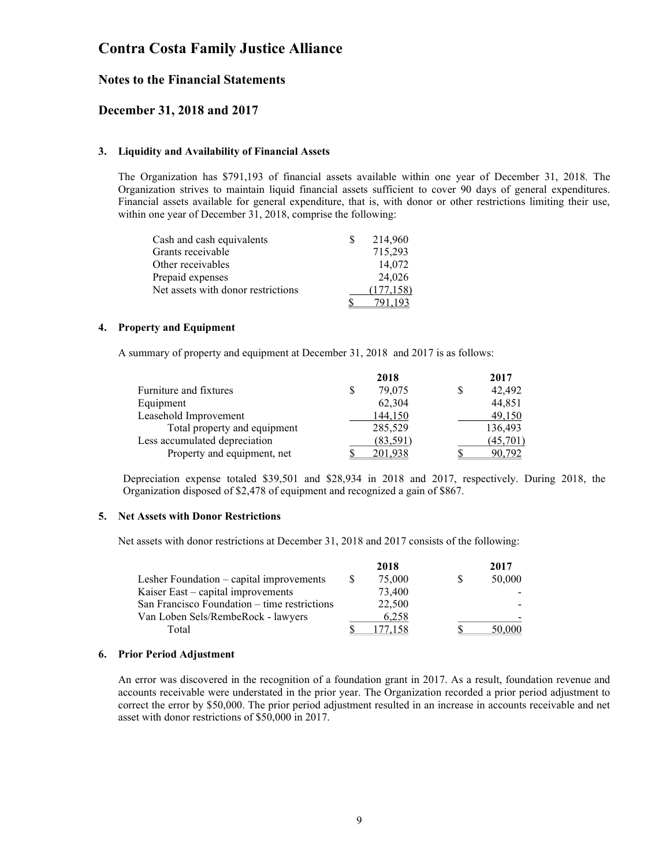## Notes to the Financial Statements

## December 31, 2018 and 2017

#### 3. Liquidity and Availability of Financial Assets

The Organization has \$791,193 of financial assets available within one year of December 31, 2018. The Organization strives to maintain liquid financial assets sufficient to cover 90 days of general expenditures. Financial assets available for general expenditure, that is, with donor or other restrictions limiting their use, within one year of December 31, 2018, comprise the following:

| Cash and cash equivalents          | 214,960    |
|------------------------------------|------------|
| Grants receivable                  | 715,293    |
| Other receivables                  | 14,072     |
| Prepaid expenses                   | 24,026     |
| Net assets with donor restrictions | (177, 158) |
|                                    |            |

#### 4. Property and Equipment

A summary of property and equipment at December 31, 2018 and 2017 is as follows:

|                               | 2018        | 2017     |
|-------------------------------|-------------|----------|
| Furniture and fixtures        | 79,075<br>S | 42,492   |
| Equipment                     | 62,304      | 44,851   |
| Leasehold Improvement         | 144,150     | 49,150   |
| Total property and equipment  | 285,529     | 136,493  |
| Less accumulated depreciation | (83, 591)   | (45,701) |
| Property and equipment, net   | 201,938     | 90.792   |

Depreciation expense totaled \$39,501 and \$28,934 in 2018 and 2017, respectively. During 2018, the Organization disposed of \$2,478 of equipment and recognized a gain of \$867.

#### 5. Net Assets with Donor Restrictions

Net assets with donor restrictions at December 31, 2018 and 2017 consists of the following:

|                                              | 2018   |  | 2017   |
|----------------------------------------------|--------|--|--------|
| Lesher Foundation – capital improvements     | 75,000 |  | 50,000 |
| Kaiser East – capital improvements           | 73,400 |  |        |
| San Francisco Foundation – time restrictions | 22,500 |  |        |
| Van Loben Sels/RembeRock - lawyers           | 6.258  |  |        |
| Total                                        |        |  | 50.000 |

#### 6. Prior Period Adjustment

An error was discovered in the recognition of a foundation grant in 2017. As a result, foundation revenue and accounts receivable were understated in the prior year. The Organization recorded a prior period adjustment to correct the error by \$50,000. The prior period adjustment resulted in an increase in accounts receivable and net asset with donor restrictions of \$50,000 in 2017.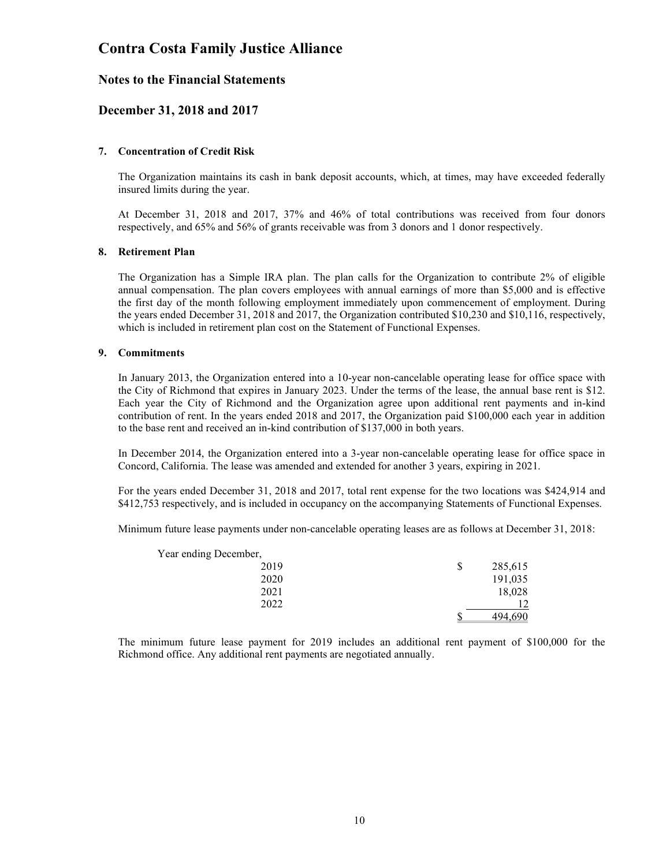### Notes to the Financial Statements

### December 31, 2018 and 2017

#### 7. Concentration of Credit Risk

The Organization maintains its cash in bank deposit accounts, which, at times, may have exceeded federally insured limits during the year.

At December 31, 2018 and 2017, 37% and 46% of total contributions was received from four donors respectively, and 65% and 56% of grants receivable was from 3 donors and 1 donor respectively.

#### 8. Retirement Plan

The Organization has a Simple IRA plan. The plan calls for the Organization to contribute 2% of eligible annual compensation. The plan covers employees with annual earnings of more than \$5,000 and is effective the first day of the month following employment immediately upon commencement of employment. During the years ended December 31, 2018 and 2017, the Organization contributed \$10,230 and \$10,116, respectively, which is included in retirement plan cost on the Statement of Functional Expenses.

### 9. Commitments

In January 2013, the Organization entered into a 10-year non-cancelable operating lease for office space with the City of Richmond that expires in January 2023. Under the terms of the lease, the annual base rent is \$12. Each year the City of Richmond and the Organization agree upon additional rent payments and in-kind contribution of rent. In the years ended 2018 and 2017, the Organization paid \$100,000 each year in addition to the base rent and received an in-kind contribution of \$137,000 in both years.

In December 2014, the Organization entered into a 3-year non-cancelable operating lease for office space in Concord, California. The lease was amended and extended for another 3 years, expiring in 2021.

For the years ended December 31, 2018 and 2017, total rent expense for the two locations was \$424,914 and \$412,753 respectively, and is included in occupancy on the accompanying Statements of Functional Expenses.

Minimum future lease payments under non-cancelable operating leases are as follows at December 31, 2018:

| Year ending December, |               |
|-----------------------|---------------|
| 2019                  | 285,615<br>\$ |
| 2020                  | 191,035       |
| 2021                  | 18,028        |
| 2022                  | 12            |
|                       | \$<br>494,690 |

The minimum future lease payment for 2019 includes an additional rent payment of \$100,000 for the Richmond office. Any additional rent payments are negotiated annually.